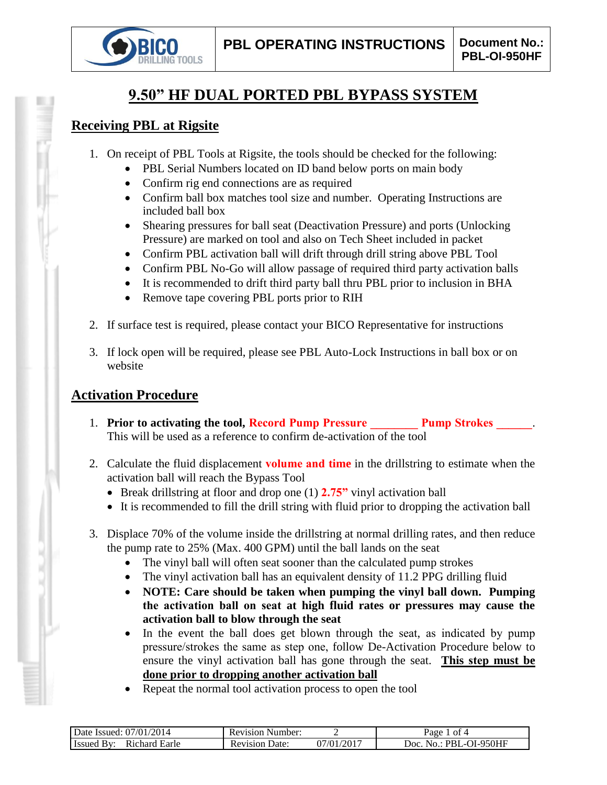

# **9.50" HF DUAL PORTED PBL BYPASS SYSTEM**

## **Receiving PBL at Rigsite**

- 1. On receipt of PBL Tools at Rigsite, the tools should be checked for the following:
	- PBL Serial Numbers located on ID band below ports on main body
	- Confirm rig end connections are as required
	- Confirm ball box matches tool size and number. Operating Instructions are included ball box
	- Shearing pressures for ball seat (Deactivation Pressure) and ports (Unlocking Pressure) are marked on tool and also on Tech Sheet included in packet
	- Confirm PBL activation ball will drift through drill string above PBL Tool
	- Confirm PBL No-Go will allow passage of required third party activation balls
	- It is recommended to drift third party ball thru PBL prior to inclusion in BHA
	- Remove tape covering PBL ports prior to RIH
- 2. If surface test is required, please contact your BICO Representative for instructions
- 3. If lock open will be required, please see PBL Auto-Lock Instructions in ball box or on website

# **Activation Procedure**

- 1. **Prior to activating the tool, Record Pump Pressure Pump Strokes 2014** This will be used as a reference to confirm de-activation of the tool
- 2. Calculate the fluid displacement **volume and time** in the drillstring to estimate when the activation ball will reach the Bypass Tool
	- Break drillstring at floor and drop one (1) **2.75"** vinyl activation ball
	- It is recommended to fill the drill string with fluid prior to dropping the activation ball
- 3. Displace 70% of the volume inside the drillstring at normal drilling rates, and then reduce the pump rate to 25% (Max. 400 GPM) until the ball lands on the seat
	- The vinyl ball will often seat sooner than the calculated pump strokes
	- The vinyl activation ball has an equivalent density of 11.2 PPG drilling fluid
	- **NOTE: Care should be taken when pumping the vinyl ball down. Pumping the activation ball on seat at high fluid rates or pressures may cause the activation ball to blow through the seat**
	- In the event the ball does get blown through the seat, as indicated by pump pressure/strokes the same as step one, follow De-Activation Procedure below to ensure the vinyl activation ball has gone through the seat. **This step must be done prior to dropping another activation ball**
	- Repeat the normal tool activation process to open the tool

| 2014<br>07/01/<br>Date Issued:                        | Number:<br>Revision     |               | ot 4<br>Раое                           |
|-------------------------------------------------------|-------------------------|---------------|----------------------------------------|
| Earle<br>ıchard<br>- Issued<br><b>R</b> <sub>10</sub> | Jate:<br>evision:<br>ĸι | /2017<br>1∖01 | )I-950HF<br>Joc<br>PRI<br>$\mathbf{a}$ |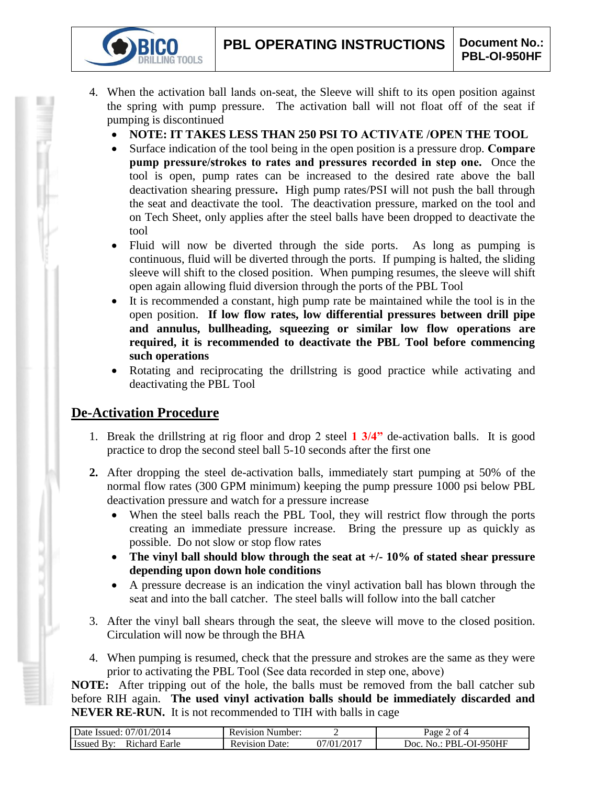- 4. When the activation ball lands on-seat, the Sleeve will shift to its open position against the spring with pump pressure. The activation ball will not float off of the seat if pumping is discontinued
	- **NOTE: IT TAKES LESS THAN 250 PSI TO ACTIVATE /OPEN THE TOOL**
	- Surface indication of the tool being in the open position is a pressure drop. **Compare pump pressure/strokes to rates and pressures recorded in step one.** Once the tool is open, pump rates can be increased to the desired rate above the ball deactivation shearing pressure**.** High pump rates/PSI will not push the ball through the seat and deactivate the tool. The deactivation pressure, marked on the tool and on Tech Sheet, only applies after the steel balls have been dropped to deactivate the tool
	- Fluid will now be diverted through the side ports. As long as pumping is continuous, fluid will be diverted through the ports. If pumping is halted, the sliding sleeve will shift to the closed position. When pumping resumes, the sleeve will shift open again allowing fluid diversion through the ports of the PBL Tool
	- It is recommended a constant, high pump rate be maintained while the tool is in the open position. **If low flow rates, low differential pressures between drill pipe and annulus, bullheading, squeezing or similar low flow operations are required, it is recommended to deactivate the PBL Tool before commencing such operations**
	- Rotating and reciprocating the drillstring is good practice while activating and deactivating the PBL Tool

# **De-Activation Procedure**

**IG TOOLS** 

- 1. Break the drillstring at rig floor and drop 2 steel **1 3/4"** de-activation balls. It is good practice to drop the second steel ball 5-10 seconds after the first one
- **2.** After dropping the steel de-activation balls, immediately start pumping at 50% of the normal flow rates (300 GPM minimum) keeping the pump pressure 1000 psi below PBL deactivation pressure and watch for a pressure increase
	- When the steel balls reach the PBL Tool, they will restrict flow through the ports creating an immediate pressure increase. Bring the pressure up as quickly as possible. Do not slow or stop flow rates
	- **The vinyl ball should blow through the seat at +/- 10% of stated shear pressure depending upon down hole conditions**
	- A pressure decrease is an indication the vinyl activation ball has blown through the seat and into the ball catcher. The steel balls will follow into the ball catcher
- 3. After the vinyl ball shears through the seat, the sleeve will move to the closed position. Circulation will now be through the BHA
- 4. When pumping is resumed, check that the pressure and strokes are the same as they were prior to activating the PBL Tool (See data recorded in step one, above)

**NOTE:** After tripping out of the hole, the balls must be removed from the ball catcher sub before RIH again. **The used vinyl activation balls should be immediately discarded and NEVER RE-RUN.** It is not recommended to TIH with balls in cage

| Date Issued: 07/01/2014 | <b>Revision Number:</b> |                         | $\angle$ of 4<br>$\log_e$ |
|-------------------------|-------------------------|-------------------------|---------------------------|
| <b>Issued By:</b>       | Date:                   | .)7/01/201 <sup>-</sup> | . No.: PBL-OI-950HF       |
| Richard Earle           | Revision                |                         | Doc.                      |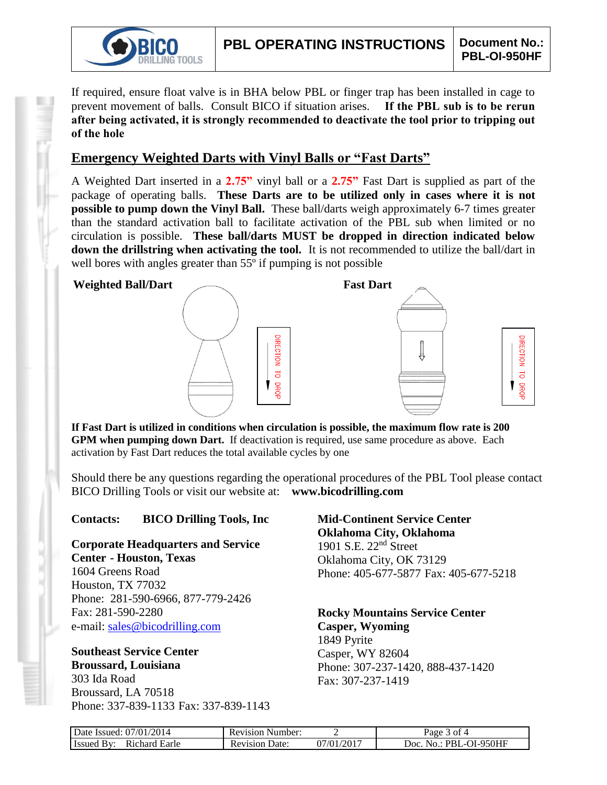

If required, ensure float valve is in BHA below PBL or finger trap has been installed in cage to prevent movement of balls. Consult BICO if situation arises. **If the PBL sub is to be rerun after being activated, it is strongly recommended to deactivate the tool prior to tripping out of the hole**

## **Emergency Weighted Darts with Vinyl Balls or "Fast Darts"**

A Weighted Dart inserted in a **2.75"** vinyl ball or a **2.75"** Fast Dart is supplied as part of the package of operating balls. **These Darts are to be utilized only in cases where it is not possible to pump down the Vinyl Ball.** These ball/darts weigh approximately 6-7 times greater than the standard activation ball to facilitate activation of the PBL sub when limited or no circulation is possible. **These ball/darts MUST be dropped in direction indicated below down the drillstring when activating the tool.** It is not recommended to utilize the ball/dart in well bores with angles greater than 55<sup>°</sup> if pumping is not possible



**If Fast Dart is utilized in conditions when circulation is possible, the maximum flow rate is 200 GPM when pumping down Dart.** If deactivation is required, use same procedure as above. Each activation by Fast Dart reduces the total available cycles by one

Should there be any questions regarding the operational procedures of the PBL Tool please contact BICO Drilling Tools or visit our website at: **www.bicodrilling.com**

### **Contacts: BICO Drilling Tools, Inc**

**Corporate Headquarters and Service Center - Houston, Texas**

1604 Greens Road Houston, TX 77032 Phone: 281-590-6966, 877-779-2426 Fax: 281-590-2280 e-mail: [sales@bicodrilling.com](mailto:sales@bicodrilling.com)

#### **Southeast Service Center Broussard, Louisiana** 303 Ida Road

Broussard, LA 70518 Phone: 337-839-1133 Fax: 337-839-1143

## **Mid-Continent Service Center Oklahoma City, Oklahoma** 1901 S.E. 22nd Street Oklahoma City, OK 73129 Phone: 405-677-5877 Fax: 405-677-5218

**Rocky Mountains Service Center Casper, Wyoming** 1849 Pyrite Casper, WY 82604 Phone: 307-237-1420, 888-437-1420 Fax: 307-237-1419

| Date Issued: 07/01/2014     | <b>Revision Number:</b> |            | Page 3 of 4            |
|-----------------------------|-------------------------|------------|------------------------|
| Richard Earle<br>Issued By: | <b>Revision Date:</b>   | 07/01/2017 | Doc. No.: PBL-OI-950HF |